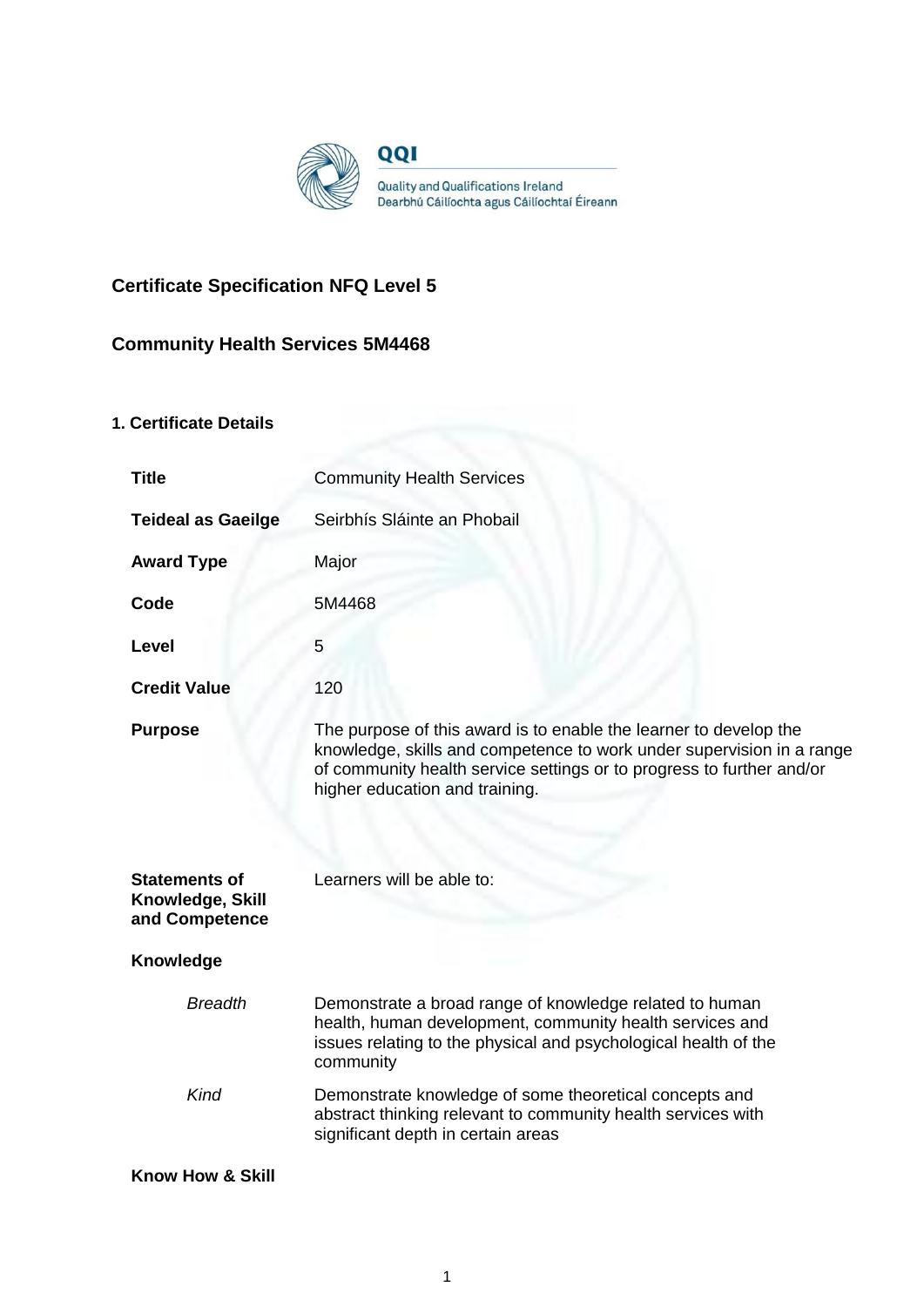

# **Certificate Specification NFQ Level 5**

## **Community Health Services 5M4468**

## **1. Certificate Details**

| <b>Title</b>                                               | <b>Community Health Services</b>                                                                                                                                                                                                                      |  |
|------------------------------------------------------------|-------------------------------------------------------------------------------------------------------------------------------------------------------------------------------------------------------------------------------------------------------|--|
| <b>Teideal as Gaeilge</b>                                  | Seirbhís Sláinte an Phobail                                                                                                                                                                                                                           |  |
| <b>Award Type</b>                                          | Major                                                                                                                                                                                                                                                 |  |
| Code                                                       | 5M4468                                                                                                                                                                                                                                                |  |
| Level                                                      | 5                                                                                                                                                                                                                                                     |  |
| <b>Credit Value</b>                                        | 120                                                                                                                                                                                                                                                   |  |
| <b>Purpose</b>                                             | The purpose of this award is to enable the learner to develop the<br>knowledge, skills and competence to work under supervision in a range<br>of community health service settings or to progress to further and/or<br>higher education and training. |  |
| <b>Statements of</b><br>Knowledge, Skill<br>and Competence | Learners will be able to:                                                                                                                                                                                                                             |  |
| Knowledge                                                  |                                                                                                                                                                                                                                                       |  |
| <b>Breadth</b>                                             | Demonstrate a broad range of knowledge related to human<br>health, human development, community health services and<br>issues relating to the physical and psychological health of the<br>community                                                   |  |
| Kind                                                       | Demonstrate knowledge of some theoretical concepts and<br>abstract thinking relevant to community health services with<br>significant depth in certain areas                                                                                          |  |
| <b>Know How &amp; Skill</b>                                |                                                                                                                                                                                                                                                       |  |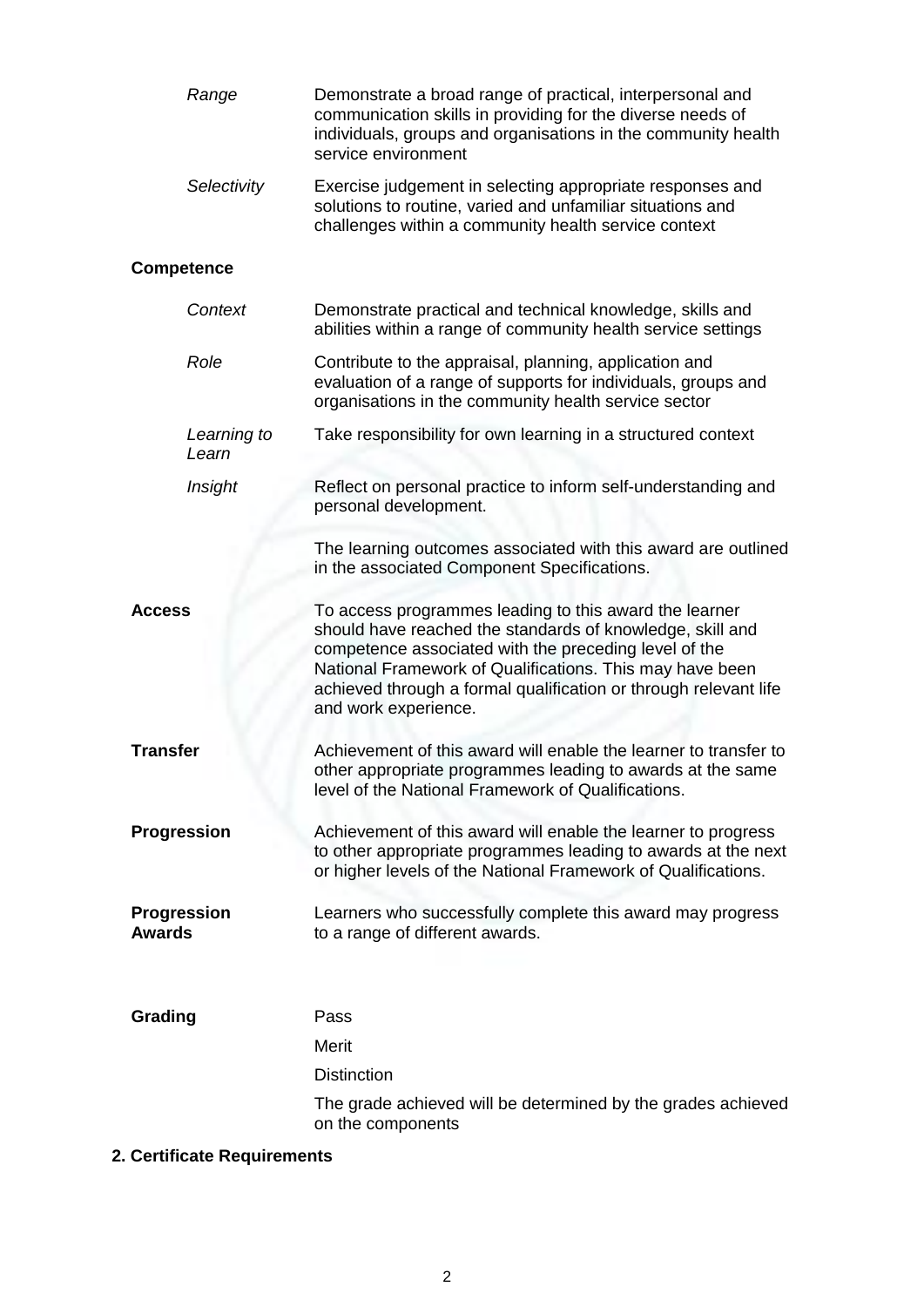|                                     | Range                | Demonstrate a broad range of practical, interpersonal and<br>communication skills in providing for the diverse needs of<br>individuals, groups and organisations in the community health<br>service environment                                                                                                                      |
|-------------------------------------|----------------------|--------------------------------------------------------------------------------------------------------------------------------------------------------------------------------------------------------------------------------------------------------------------------------------------------------------------------------------|
|                                     | Selectivity          | Exercise judgement in selecting appropriate responses and<br>solutions to routine, varied and unfamiliar situations and<br>challenges within a community health service context                                                                                                                                                      |
| <b>Competence</b>                   |                      |                                                                                                                                                                                                                                                                                                                                      |
|                                     | Context              | Demonstrate practical and technical knowledge, skills and<br>abilities within a range of community health service settings                                                                                                                                                                                                           |
| Role                                |                      | Contribute to the appraisal, planning, application and<br>evaluation of a range of supports for individuals, groups and<br>organisations in the community health service sector                                                                                                                                                      |
|                                     | Learning to<br>Learn | Take responsibility for own learning in a structured context                                                                                                                                                                                                                                                                         |
| Insight                             |                      | Reflect on personal practice to inform self-understanding and<br>personal development.                                                                                                                                                                                                                                               |
|                                     |                      | The learning outcomes associated with this award are outlined<br>in the associated Component Specifications.                                                                                                                                                                                                                         |
| <b>Access</b>                       |                      | To access programmes leading to this award the learner<br>should have reached the standards of knowledge, skill and<br>competence associated with the preceding level of the<br>National Framework of Qualifications. This may have been<br>achieved through a formal qualification or through relevant life<br>and work experience. |
| <b>Transfer</b>                     |                      | Achievement of this award will enable the learner to transfer to<br>other appropriate programmes leading to awards at the same<br>level of the National Framework of Qualifications.                                                                                                                                                 |
| Progression                         |                      | Achievement of this award will enable the learner to progress<br>to other appropriate programmes leading to awards at the next<br>or higher levels of the National Framework of Qualifications.                                                                                                                                      |
| <b>Progression</b><br><b>Awards</b> |                      | Learners who successfully complete this award may progress<br>to a range of different awards.                                                                                                                                                                                                                                        |
| Grading                             |                      | Pass                                                                                                                                                                                                                                                                                                                                 |
|                                     |                      | Merit                                                                                                                                                                                                                                                                                                                                |
|                                     |                      | <b>Distinction</b>                                                                                                                                                                                                                                                                                                                   |
|                                     |                      | The grade achieved will be determined by the grades achieved<br>on the components                                                                                                                                                                                                                                                    |

## **2. Certificate Requirements**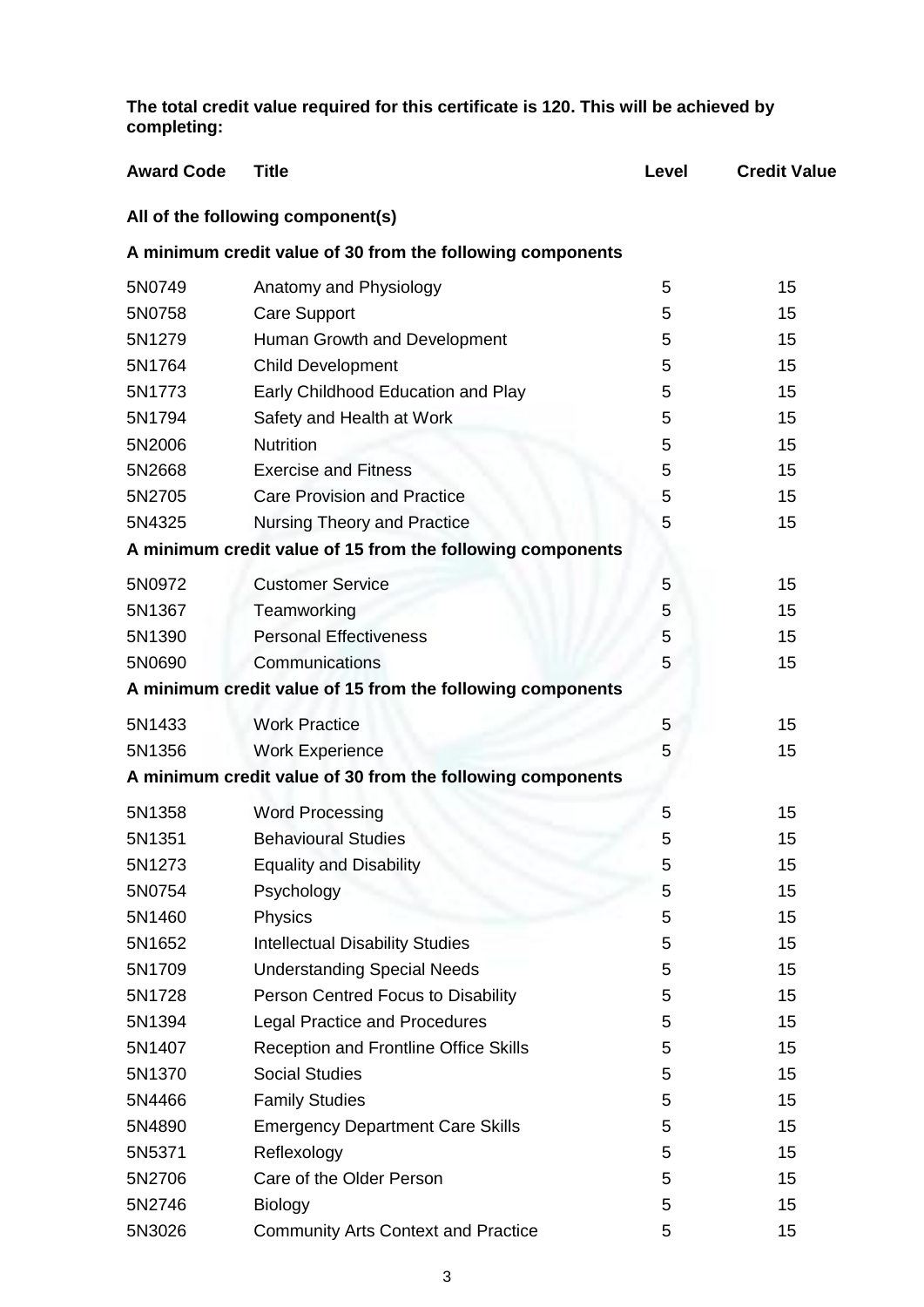**The total credit value required for this certificate is 120. This will be achieved by completing:**

| <b>Award Code</b> | <b>Title</b>                                               | Level | <b>Credit Value</b> |
|-------------------|------------------------------------------------------------|-------|---------------------|
|                   | All of the following component(s)                          |       |                     |
|                   | A minimum credit value of 30 from the following components |       |                     |
| 5N0749            | Anatomy and Physiology                                     | 5     | 15                  |
| 5N0758            | <b>Care Support</b>                                        | 5     | 15                  |
| 5N1279            | Human Growth and Development                               | 5     | 15                  |
| 5N1764            | <b>Child Development</b>                                   | 5     | 15                  |
| 5N1773            | Early Childhood Education and Play                         | 5     | 15                  |
| 5N1794            | Safety and Health at Work                                  | 5     | 15                  |
| 5N2006            | <b>Nutrition</b>                                           | 5     | 15                  |
| 5N2668            | <b>Exercise and Fitness</b>                                | 5     | 15                  |
| 5N2705            | <b>Care Provision and Practice</b>                         | 5     | 15                  |
| 5N4325            | <b>Nursing Theory and Practice</b>                         | 5     | 15                  |
|                   | A minimum credit value of 15 from the following components |       |                     |
| 5N0972            | <b>Customer Service</b>                                    | 5     | 15                  |
| 5N1367            | Teamworking                                                | 5     | 15                  |
| 5N1390            | <b>Personal Effectiveness</b>                              | 5     | 15                  |
| 5N0690            | Communications                                             | 5     | 15                  |
|                   | A minimum credit value of 15 from the following components |       |                     |
| 5N1433            | <b>Work Practice</b>                                       | 5     | 15                  |
| 5N1356            | <b>Work Experience</b>                                     | 5     | 15                  |
|                   | A minimum credit value of 30 from the following components |       |                     |
| 5N1358            | <b>Word Processing</b>                                     | 5     | 15                  |
| 5N1351            | <b>Behavioural Studies</b>                                 | 5     | 15                  |
| 5N1273            | <b>Equality and Disability</b>                             | 5     | 15                  |
| 5N0754            | Psychology                                                 | 5     | 15                  |
| 5N1460            | Physics                                                    | 5     | 15                  |
| 5N1652            | <b>Intellectual Disability Studies</b>                     | 5     | 15                  |
| 5N1709            | <b>Understanding Special Needs</b>                         | 5     | 15                  |
| 5N1728            | Person Centred Focus to Disability                         | 5     | 15                  |
| 5N1394            | <b>Legal Practice and Procedures</b>                       | 5     | 15                  |
| 5N1407            | <b>Reception and Frontline Office Skills</b>               | 5     | 15                  |
| 5N1370            | <b>Social Studies</b>                                      | 5     | 15                  |
| 5N4466            | <b>Family Studies</b>                                      | 5     | 15                  |
| 5N4890            | <b>Emergency Department Care Skills</b>                    | 5     | 15                  |
| 5N5371            | Reflexology                                                | 5     | 15                  |
| 5N2706            | Care of the Older Person                                   | 5     | 15                  |
| 5N2746            | <b>Biology</b>                                             | 5     | 15                  |
| 5N3026            | <b>Community Arts Context and Practice</b>                 | 5     | 15                  |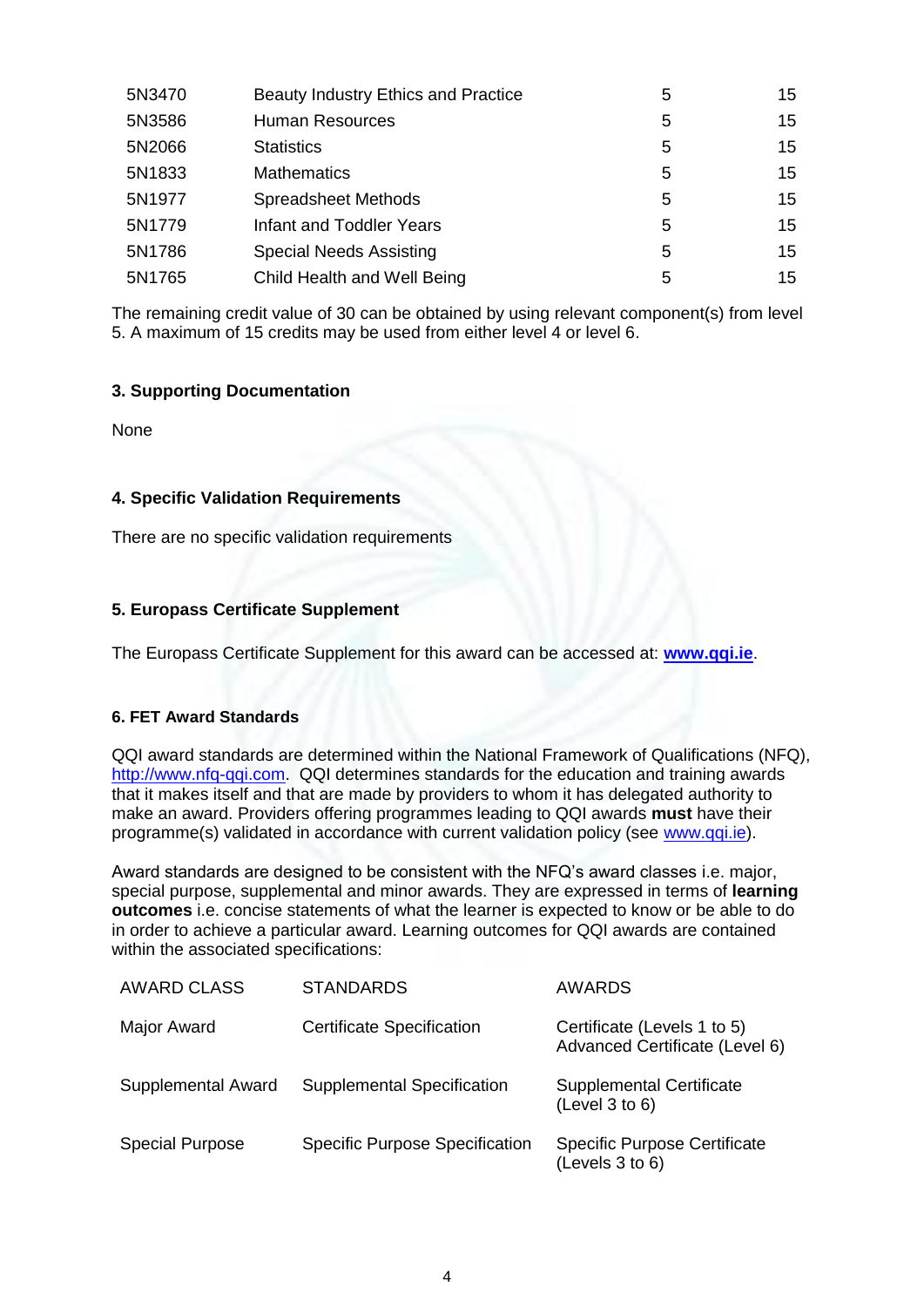| 5N3470 | Beauty Industry Ethics and Practice | 5 | 15 |
|--------|-------------------------------------|---|----|
| 5N3586 | <b>Human Resources</b>              | 5 | 15 |
| 5N2066 | <b>Statistics</b>                   | 5 | 15 |
| 5N1833 | <b>Mathematics</b>                  | 5 | 15 |
| 5N1977 | <b>Spreadsheet Methods</b>          | 5 | 15 |
| 5N1779 | Infant and Toddler Years            | 5 | 15 |
| 5N1786 | <b>Special Needs Assisting</b>      | 5 | 15 |
| 5N1765 | Child Health and Well Being         | 5 | 15 |

The remaining credit value of 30 can be obtained by using relevant component(s) from level 5. A maximum of 15 credits may be used from either level 4 or level 6.

## **3. Supporting Documentation**

None

#### **4. Specific Validation Requirements**

There are no specific validation requirements

## **5. Europass Certificate Supplement**

The Europass Certificate Supplement for this award can be accessed at: **[www.qqi.ie](http://www.qqi.ie/)**.

#### **6. FET Award Standards**

QQI award standards are determined within the National Framework of Qualifications (NFQ), http://www.nfg-qqi.com. QQI determines standards for the education and training awards that it makes itself and that are made by providers to whom it has delegated authority to make an award. Providers offering programmes leading to QQI awards **must** have their programme(s) validated in accordance with current validation policy (see [www.qqi.ie\)](http://www.qqi.ie/).

Award standards are designed to be consistent with the NFQ's award classes i.e. major, special purpose, supplemental and minor awards. They are expressed in terms of **learning outcomes** i.e. concise statements of what the learner is expected to know or be able to do in order to achieve a particular award. Learning outcomes for QQI awards are contained within the associated specifications:

| <b>AWARD CLASS</b>     | <b>STANDARDS</b>                      | <b>AWARDS</b>                                                 |
|------------------------|---------------------------------------|---------------------------------------------------------------|
| Major Award            | <b>Certificate Specification</b>      | Certificate (Levels 1 to 5)<br>Advanced Certificate (Level 6) |
| Supplemental Award     | <b>Supplemental Specification</b>     | <b>Supplemental Certificate</b><br>(Level 3 to 6)             |
| <b>Special Purpose</b> | <b>Specific Purpose Specification</b> | <b>Specific Purpose Certificate</b><br>(Levels 3 to 6)        |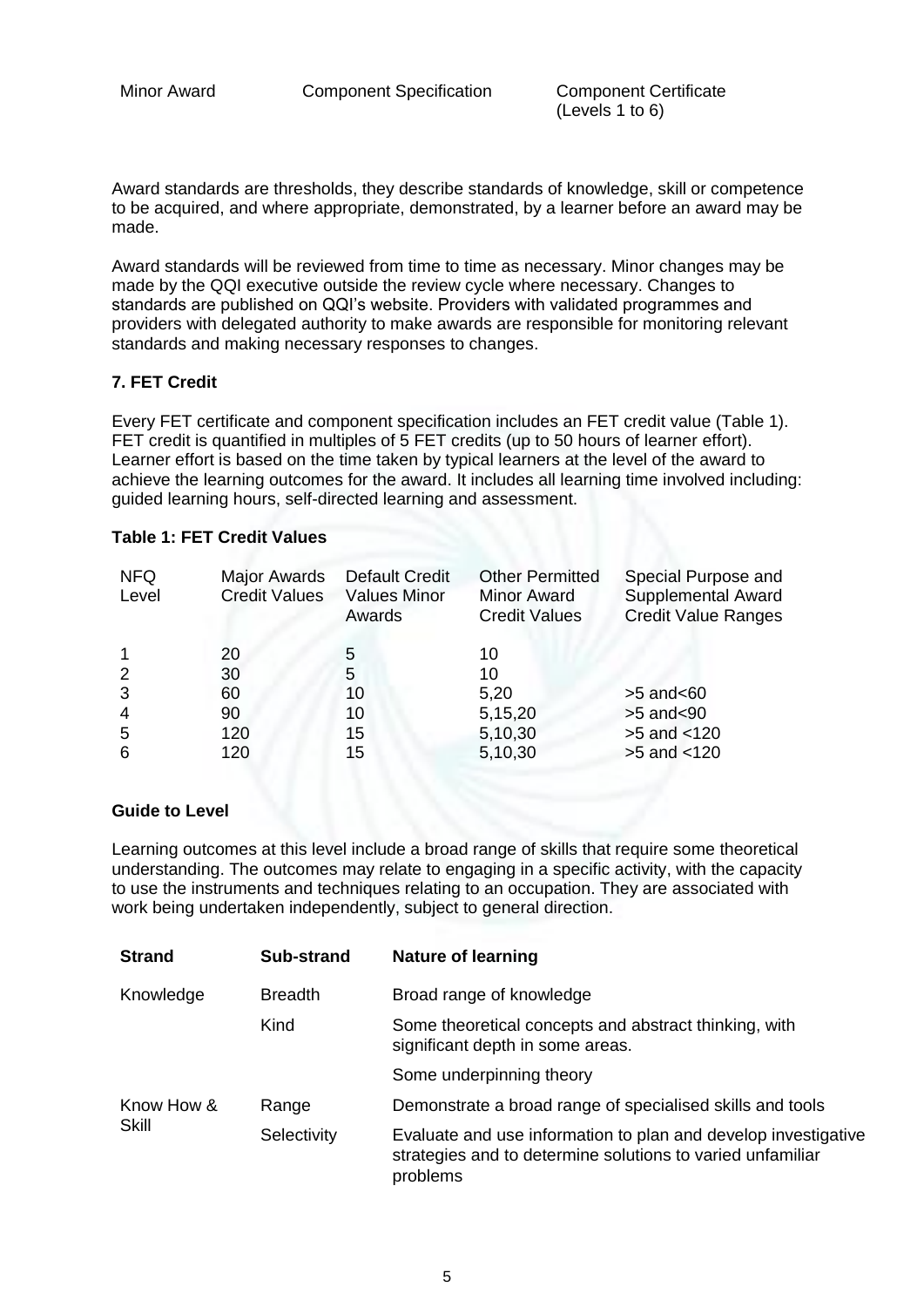(Levels 1 to 6)

Award standards are thresholds, they describe standards of knowledge, skill or competence to be acquired, and where appropriate, demonstrated, by a learner before an award may be made.

Award standards will be reviewed from time to time as necessary. Minor changes may be made by the QQI executive outside the review cycle where necessary. Changes to standards are published on QQI's website. Providers with validated programmes and providers with delegated authority to make awards are responsible for monitoring relevant standards and making necessary responses to changes.

#### **7. FET Credit**

Every FET certificate and component specification includes an FET credit value (Table 1). FET credit is quantified in multiples of 5 FET credits (up to 50 hours of learner effort). Learner effort is based on the time taken by typical learners at the level of the award to achieve the learning outcomes for the award. It includes all learning time involved including: guided learning hours, self-directed learning and assessment.

#### **Table 1: FET Credit Values**

| <b>NFQ</b><br>Level | Major Awards<br><b>Credit Values</b> | <b>Default Credit</b><br><b>Values Minor</b><br>Awards | <b>Other Permitted</b><br><b>Minor Award</b><br><b>Credit Values</b> | Special Purpose and<br><b>Supplemental Award</b><br><b>Credit Value Ranges</b> |
|---------------------|--------------------------------------|--------------------------------------------------------|----------------------------------------------------------------------|--------------------------------------------------------------------------------|
|                     | 20                                   | 5                                                      | 10                                                                   |                                                                                |
| $\overline{2}$      | 30                                   | 5                                                      | 10                                                                   |                                                                                |
| 3                   | 60                                   | 10                                                     | 5,20                                                                 | $>5$ and $< 60$                                                                |
| $\overline{4}$      | 90                                   | 10                                                     | 5,15,20                                                              | $>5$ and $<$ 90                                                                |
| 5                   | 120                                  | 15                                                     | 5,10,30                                                              | $>5$ and $<120$                                                                |
| 6                   | 120                                  | 15                                                     | 5,10,30                                                              | $>5$ and $<120$                                                                |

#### **Guide to Level**

Learning outcomes at this level include a broad range of skills that require some theoretical understanding. The outcomes may relate to engaging in a specific activity, with the capacity to use the instruments and techniques relating to an occupation. They are associated with work being undertaken independently, subject to general direction.

| <b>Strand</b>       | Sub-strand     | <b>Nature of learning</b>                                                                                                                |
|---------------------|----------------|------------------------------------------------------------------------------------------------------------------------------------------|
| Knowledge           | <b>Breadth</b> | Broad range of knowledge                                                                                                                 |
|                     | Kind           | Some theoretical concepts and abstract thinking, with<br>significant depth in some areas.                                                |
|                     |                | Some underpinning theory                                                                                                                 |
| Know How &<br>Skill | Range          | Demonstrate a broad range of specialised skills and tools                                                                                |
|                     | Selectivity    | Evaluate and use information to plan and develop investigative<br>strategies and to determine solutions to varied unfamiliar<br>problems |